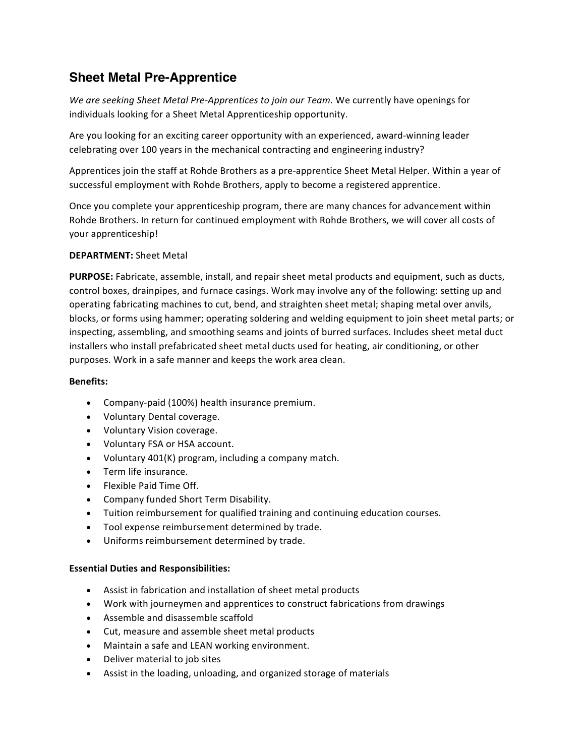# **Sheet Metal Pre-Apprentice**

We are seeking Sheet Metal Pre-Apprentices to join our Team. We currently have openings for individuals looking for a Sheet Metal Apprenticeship opportunity.

Are you looking for an exciting career opportunity with an experienced, award-winning leader celebrating over 100 years in the mechanical contracting and engineering industry?

Apprentices join the staff at Rohde Brothers as a pre-apprentice Sheet Metal Helper. Within a year of successful employment with Rohde Brothers, apply to become a registered apprentice.

Once you complete your apprenticeship program, there are many chances for advancement within Rohde Brothers. In return for continued employment with Rohde Brothers, we will cover all costs of your apprenticeship!

## **DEPARTMENT:** Sheet Metal

**PURPOSE:** Fabricate, assemble, install, and repair sheet metal products and equipment, such as ducts, control boxes, drainpipes, and furnace casings. Work may involve any of the following: setting up and operating fabricating machines to cut, bend, and straighten sheet metal; shaping metal over anvils, blocks, or forms using hammer; operating soldering and welding equipment to join sheet metal parts; or inspecting, assembling, and smoothing seams and joints of burred surfaces. Includes sheet metal duct installers who install prefabricated sheet metal ducts used for heating, air conditioning, or other purposes. Work in a safe manner and keeps the work area clean.

## **Benefits:**

- Company-paid (100%) health insurance premium.
- Voluntary Dental coverage.
- Voluntary Vision coverage.
- Voluntary FSA or HSA account.
- Voluntary 401(K) program, including a company match.
- Term life insurance.
- Flexible Paid Time Off.
- Company funded Short Term Disability.
- Tuition reimbursement for qualified training and continuing education courses.
- Tool expense reimbursement determined by trade.
- Uniforms reimbursement determined by trade.

## **Essential Duties and Responsibilities:**

- Assist in fabrication and installation of sheet metal products
- Work with journeymen and apprentices to construct fabrications from drawings
- Assemble and disassemble scaffold
- Cut, measure and assemble sheet metal products
- Maintain a safe and LEAN working environment.
- Deliver material to job sites
- Assist in the loading, unloading, and organized storage of materials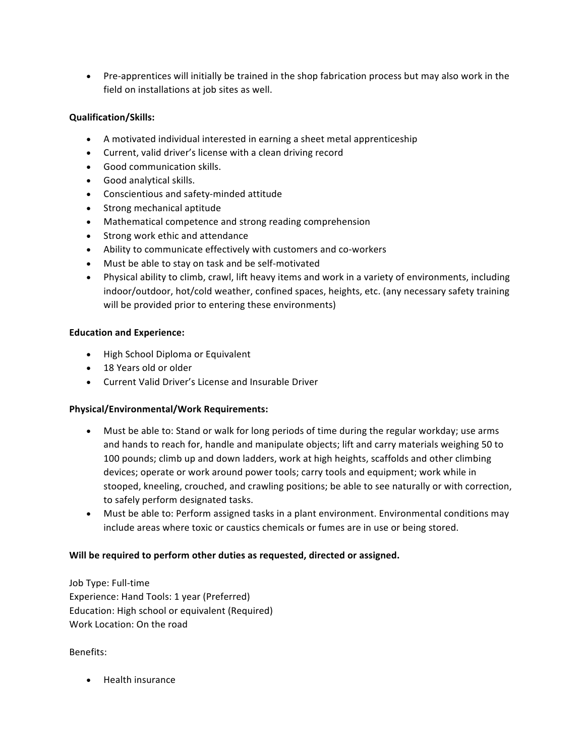• Pre-apprentices will initially be trained in the shop fabrication process but may also work in the field on installations at job sites as well.

# **Qualification/Skills:**

- A motivated individual interested in earning a sheet metal apprenticeship
- Current, valid driver's license with a clean driving record
- Good communication skills.
- Good analytical skills.
- Conscientious and safety-minded attitude
- Strong mechanical aptitude
- Mathematical competence and strong reading comprehension
- Strong work ethic and attendance
- Ability to communicate effectively with customers and co-workers
- Must be able to stay on task and be self-motivated
- Physical ability to climb, crawl, lift heavy items and work in a variety of environments, including indoor/outdoor, hot/cold weather, confined spaces, heights, etc. (any necessary safety training will be provided prior to entering these environments)

## **Education and Experience:**

- High School Diploma or Equivalent
- 18 Years old or older
- Current Valid Driver's License and Insurable Driver

# **Physical/Environmental/Work Requirements:**

- Must be able to: Stand or walk for long periods of time during the regular workday; use arms and hands to reach for, handle and manipulate objects; lift and carry materials weighing 50 to 100 pounds; climb up and down ladders, work at high heights, scaffolds and other climbing devices; operate or work around power tools; carry tools and equipment; work while in stooped, kneeling, crouched, and crawling positions; be able to see naturally or with correction, to safely perform designated tasks.
- Must be able to: Perform assigned tasks in a plant environment. Environmental conditions may include areas where toxic or caustics chemicals or fumes are in use or being stored.

# Will be required to perform other duties as requested, directed or assigned.

Job Type: Full-time Experience: Hand Tools: 1 year (Preferred) Education: High school or equivalent (Required) Work Location: On the road

## Benefits:

• Health insurance